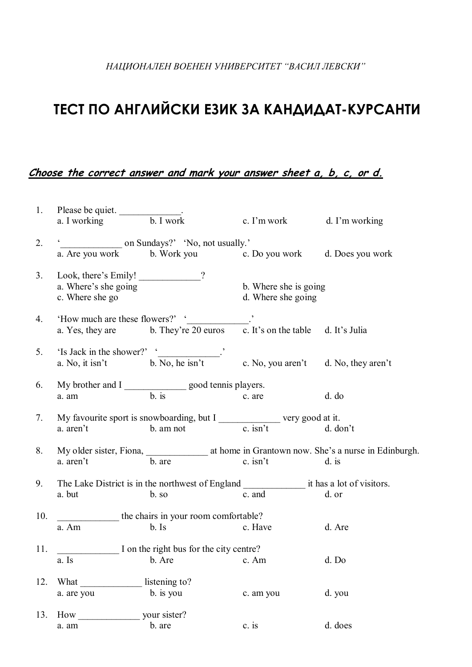## **ТЕСТ ПО АНГЛИЙСКИ ЕЗИК ЗА КАНДИДАТ-КУРСАНТИ**

## **Choose the correct answer and mark your answer sheet a, b, c, or d.**

|     | 1. Please be quiet.<br>a. I working b. I work |                                                                                                                                                                                                                                |                            |          |  |
|-----|-----------------------------------------------|--------------------------------------------------------------------------------------------------------------------------------------------------------------------------------------------------------------------------------|----------------------------|----------|--|
|     |                                               |                                                                                                                                                                                                                                | c. I'm work d. I'm working |          |  |
| 2.  |                                               |                                                                                                                                                                                                                                |                            |          |  |
|     |                                               | a. Are you work and b. Work you can be very call the very contract to b. Work you can be very call the very call the very call the very call the very call the very call the very call the very call the very call the very ca |                            |          |  |
| 3.  |                                               | Look, there's Emily! ___________?                                                                                                                                                                                              |                            |          |  |
|     | a. Where's she going                          |                                                                                                                                                                                                                                | b. Where she is going      |          |  |
|     | c. Where she go                               |                                                                                                                                                                                                                                | d. Where she going         |          |  |
| 4.  |                                               | 'How much are these flowers?' $\frac{1}{20 \text{ euros}}$ . They're 20 euros c. It's on the table d. It's Julia                                                                                                               |                            |          |  |
|     |                                               |                                                                                                                                                                                                                                |                            |          |  |
| 5.  |                                               | 'Is Jack in the shower?' $\frac{c}{b}$ . No, he isn't c. No, you aren't d. No, they aren't a. No, it isn't                                                                                                                     |                            |          |  |
|     |                                               |                                                                                                                                                                                                                                |                            |          |  |
| 6.  |                                               |                                                                                                                                                                                                                                |                            |          |  |
|     |                                               |                                                                                                                                                                                                                                |                            | d. d     |  |
| 7.  |                                               |                                                                                                                                                                                                                                |                            |          |  |
|     |                                               | My favourite sport is snowboarding, but I $\frac{c}{\cosh^2 t}$ very good at it.<br>a. aren't b. am not c. isn't d. do                                                                                                         |                            | d. don't |  |
| 8.  |                                               |                                                                                                                                                                                                                                |                            |          |  |
|     | a. aren't                                     | b. are                                                                                                                                                                                                                         | $c. \text{ is } n't$       | $d.$ is  |  |
| 9.  |                                               |                                                                                                                                                                                                                                |                            |          |  |
|     | a. but                                        | b. so                                                                                                                                                                                                                          | c. and                     | d. or    |  |
| 10. | the chairs in your room comfortable?          |                                                                                                                                                                                                                                |                            |          |  |
|     | a. Am                                         | $b.$ Is                                                                                                                                                                                                                        | c. Have                    | d. Are   |  |
| 11. |                                               | I on the right bus for the city centre?                                                                                                                                                                                        |                            |          |  |
|     | a. Is                                         | b. Are c. Am                                                                                                                                                                                                                   | d. Do                      |          |  |
| 12. | What                                          | listening to?                                                                                                                                                                                                                  |                            |          |  |
|     | a. are you                                    | b. is you                                                                                                                                                                                                                      | c. am you                  | d. you   |  |
|     |                                               |                                                                                                                                                                                                                                |                            |          |  |
| 13. |                                               |                                                                                                                                                                                                                                |                            |          |  |
|     | a. am                                         | b. are                                                                                                                                                                                                                         | $c.$ is                    | d. does  |  |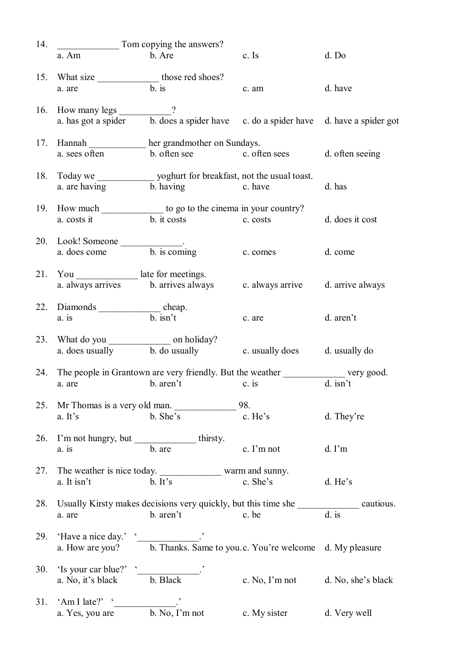| 14. | Tom copying the answers?                                    |                                                                          |                       |                        |
|-----|-------------------------------------------------------------|--------------------------------------------------------------------------|-----------------------|------------------------|
|     | a. Am                                                       | b. Are                                                                   | c. Is                 | d. Do                  |
| 15. | What size ____________________ those red shoes?<br>a. are   | $\overline{b}$ is                                                        | c. am                 | d. have                |
|     |                                                             |                                                                          |                       |                        |
| 16. |                                                             |                                                                          |                       |                        |
|     | a. sees often                                               | 17. Hannah her grandmother on Sundays.<br>b. often see c. often sees     |                       | d. often seeing        |
| 18. | a. are having                                               | b. having<br>c. have                                                     |                       | d. has                 |
| 19. |                                                             | How much _______________ to go to the cinema in your country?            |                       |                        |
|     | a. costs it                                                 | b. it costs<br>c. costs                                                  |                       | d. does it cost        |
| 20. | Look! Someone $\frac{1}{2.20 \text{ cm}}$ b. is coming      |                                                                          | c. comes              | d. come                |
| 21. | You _______________ late for meetings.<br>a. always arrives | b. arrives always                                                        | c. always arrive      | d. arrive always       |
| 22. | Diamonds _______________________cheap.<br>$a$ . is          | $b.$ isn't                                                               | c. are                | d. aren't              |
| 23. |                                                             | a. does usually b. do usually                                            | c. usually does       | d. usually do          |
| 24. | a. are                                                      | The people in Grantown are very friendly. But the weather<br>b. aren't   | $c$ . is              | very good.<br>d. isn't |
| 25. |                                                             | Mr Thomas is a very old man.                                             | 98.                   |                        |
|     | a. It's                                                     | b. She's                                                                 | c. He's               | d. They're             |
| 26. | I'm not hungry, but __________________thirsty.<br>a. is     | b. are                                                                   | c. I'm not            | $d. \Gamma m$          |
| 27. | a. It isn't                                                 | The weather is nice today. warm and sunny.<br>b. It's                    | c. She's              | d. He's                |
| 28. |                                                             | Usually Kirsty makes decisions very quickly, but this time she cautious. |                       | $\overline{d}$ . is    |
|     | a. are                                                      | b. aren't                                                                | c. be                 |                        |
| 29. | 'Have a nice day.' ' <u>_______________</u> .'              | a. How are you? b. Thanks. Same to you.c. You're welcome d. My pleasure  |                       |                        |
| 30. | 'Is your car blue?' '<br>a. No, it's black                  | b. Black                                                                 | c. No, $\Gamma$ m not | d. No, she's black     |
| 31. | 'Am I late?' $\lq$<br>a. Yes, you are                       | $\overline{b}$ . No, I'm not                                             | c. My sister          | d. Very well           |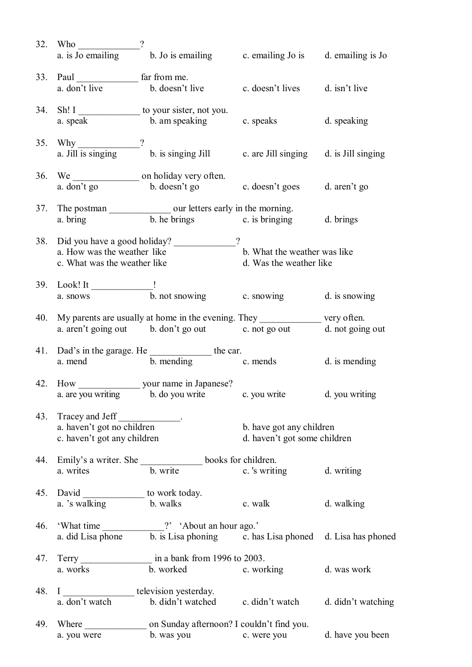| 32. | Who $\qquad$<br>a. is Jo emailing                                                | b. Jo is emailing c. emailing Jo is                                                                                                      |                                                          | d. emailing is Jo  |
|-----|----------------------------------------------------------------------------------|------------------------------------------------------------------------------------------------------------------------------------------|----------------------------------------------------------|--------------------|
|     | 33. Paul far from me.<br>a. don't live                                           | b. doesn't live                                                                                                                          | c. doesn't lives                                         | d. isn't live      |
|     | a. speak                                                                         | 34. Sh! I __________________ to your sister, not you.<br>$\overline{\phantom{a}}$ b. am speaking c. speaks                               |                                                          | d. speaking        |
|     | 35. Why $\frac{2}{a}$ . Jill is singing ?                                        | b. is singing Jill c. are Jill singing d. is Jill singing                                                                                |                                                          |                    |
|     |                                                                                  | a. don't go b. doesn't go c. doesn't goes d. aren't go                                                                                   |                                                          |                    |
|     |                                                                                  | a. bring b. he brings c. is bringing                                                                                                     |                                                          | d. brings          |
|     | a. How was the weather like<br>c. What was the weather like                      | 38. Did you have a good holiday?                                                                                                         | b. What the weather was like<br>d. Was the weather like  |                    |
|     |                                                                                  | 39. Look! It $\frac{1}{a \cdot \text{snow}}$ b. not snowing c. snowing c.                                                                |                                                          | d. is snowing      |
| 40. |                                                                                  | My parents are usually at home in the evening. They ______________ very often.<br>a. aren't going out b. don't go out c. not go out      |                                                          | d. not going out   |
|     |                                                                                  | 41. Dad's in the garage. He $\frac{1}{b}$ mending the car.<br>a. mend $\frac{1}{c}$ mending $\frac{1}{c}$ mends $\frac{1}{d}$ is mending |                                                          |                    |
| 42. |                                                                                  | __ your name in Japanese?<br>$\alpha$ are you writing b. do you write                                                                    | c. you write                                             | d. you writing     |
|     | 43. Tracey and Jeff<br>a. haven't got no children<br>c. haven't got any children |                                                                                                                                          | b. have got any children<br>d. haven't got some children |                    |
| 44. | Emily's a writer. She $\frac{1}{b}$ write                                        |                                                                                                                                          | books for children.<br>c. 's writing                     | d. writing         |
|     | a. 's walking                                                                    | to work today.<br>b. walks                                                                                                               | c. walk                                                  | d. walking         |
| 46. | a. did Lisa phone                                                                | 'What time ____________?' 'About an hour ago.'                                                                                           | $\overline{b}$ . is Lisa phoning c. has Lisa phoned      | d. Lisa has phoned |
| 47. | a. works                                                                         | Terry in a bank from 1996 to 2003.<br>b. worked                                                                                          | c. working                                               | d. was work        |
| 48. | $\mathbf I$<br>a. don't watch                                                    | television yesterday.<br>b. didn't watched                                                                                               | c. didn't watch                                          | d. didn't watching |
| 49. | Where<br>a. you were                                                             | on Sunday afternoon? I couldn't find you.<br>b. was you                                                                                  | c. were you                                              | d. have you been   |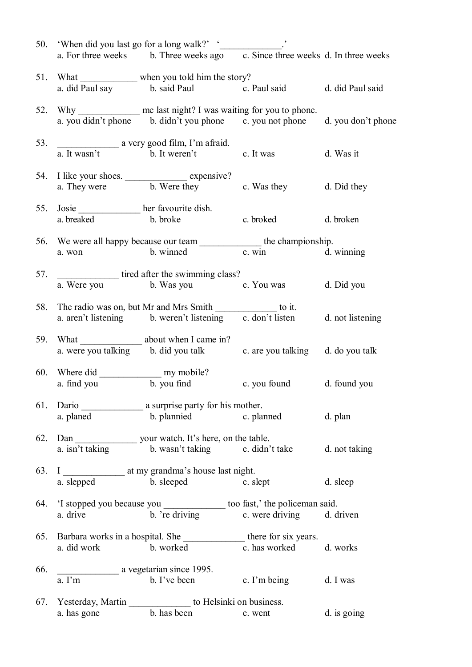|     |                                                                      | 50. 'When did you last go for a long walk?' '<br>a. For three weeks b. Three weeks ago c. Since three weeks d. In three weeks              |                        |                    |
|-----|----------------------------------------------------------------------|--------------------------------------------------------------------------------------------------------------------------------------------|------------------------|--------------------|
|     |                                                                      |                                                                                                                                            |                        |                    |
|     | a. did Paul say                                                      | 51. What ______________ when you told him the story?<br>b. said Paul c. Paul said                                                          |                        | d. did Paul said   |
| 52. |                                                                      | Why ______________ me last night? I was waiting for you to phone.<br>a. you didn't phone b. didn't you phone c. you not phone              |                        | d. you don't phone |
| 53. |                                                                      | a. It wasn't a very good film, I'm afraid.<br>b. It weren't<br>b. It weren't c. It was d. Was it                                           |                        |                    |
| 54. |                                                                      | I like your shoes.<br>a. They were b. Were they c. Was they d. Did they                                                                    |                        |                    |
|     | 55. Josie _______________ her favourite dish.<br>a. breaked b. broke |                                                                                                                                            | c. broked              | d. broken          |
|     |                                                                      | 56. We were all happy because our team the championship.<br>a. won b. winned c. win d. winning                                             |                        |                    |
| 57. |                                                                      | tired after the swimming class?<br>a. Were you b. Was you c. You was d. Did you                                                            |                        |                    |
| 58. |                                                                      | The radio was on, but Mr and Mrs Smith _______________ to it.<br>a. aren't listening b. weren't listening c. don't listen d. not listening |                        |                    |
| 59. |                                                                      | What<br>a. were you talking b. did you talk<br>b. did you talk<br>c. are you talking d. do you talk                                        |                        |                    |
|     |                                                                      | a. find you b. you find c. you found d. found you                                                                                          |                        |                    |
| 61. | a. planed                                                            | b. plannied c. planned                                                                                                                     |                        | d. plan            |
| 62. | a. isn't taking                                                      | b. wasn't taking c. didn't take                                                                                                            |                        | d. not taking      |
| 63. | a. slepped                                                           | b. sleeped<br>c. slept                                                                                                                     |                        | d. sleep           |
| 64. | a. drive                                                             | 'I stopped you because you ________________ too fast,' the policeman said.<br>b. 're driving                                               | c. were driving        | d. driven          |
| 65. | a. did work                                                          | Barbara works in a hospital. She ______________________ there for six years.<br>b. worked                                                  | c. has worked d. works |                    |
| 66. | a. I'm                                                               | a vegetarian since 1995.<br>b. I've been                                                                                                   | c. I'm being           | d. I was           |
|     | a. has gone                                                          | 67. Yesterday, Martin ____________________ to Helsinki on business.<br>b. has been                                                         | c. went                | d. is going        |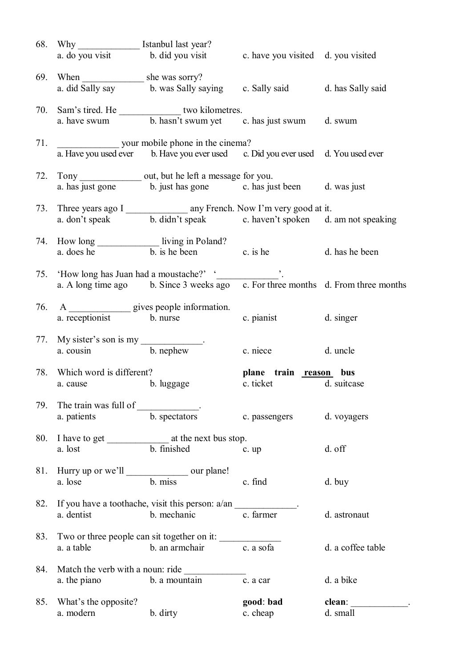|     |                                                  | 68. Why ____________________ Istanbul last year?                                                                                                                                                                                  |               |                                       |  |
|-----|--------------------------------------------------|-----------------------------------------------------------------------------------------------------------------------------------------------------------------------------------------------------------------------------------|---------------|---------------------------------------|--|
|     |                                                  | a. do you visit b. did you visit c. have you visited d. you visited                                                                                                                                                               |               |                                       |  |
|     |                                                  |                                                                                                                                                                                                                                   |               |                                       |  |
|     |                                                  | a. did Sally say b. was Sally saying c. Sally said d. has Sally said                                                                                                                                                              |               |                                       |  |
|     |                                                  |                                                                                                                                                                                                                                   |               |                                       |  |
|     |                                                  |                                                                                                                                                                                                                                   |               |                                       |  |
|     |                                                  |                                                                                                                                                                                                                                   |               |                                       |  |
|     |                                                  |                                                                                                                                                                                                                                   |               |                                       |  |
|     |                                                  |                                                                                                                                                                                                                                   |               |                                       |  |
|     |                                                  | a. Have you used ever b. Have you ever used c. Did you ever used d. You used ever                                                                                                                                                 |               |                                       |  |
|     |                                                  | 72. Tony _________________ out, but he left a message for you.                                                                                                                                                                    |               |                                       |  |
|     |                                                  | a. has just gone b. just has gone c. has just been d. was just                                                                                                                                                                    |               |                                       |  |
|     |                                                  |                                                                                                                                                                                                                                   |               |                                       |  |
|     |                                                  |                                                                                                                                                                                                                                   |               |                                       |  |
|     |                                                  |                                                                                                                                                                                                                                   |               |                                       |  |
|     |                                                  |                                                                                                                                                                                                                                   |               |                                       |  |
|     |                                                  | 74. How long living in Poland?<br>a. does he b. is he been c. is he c. is he c. is he c. is he c. is he c. is he c. is he c. is he c. is he c. is he c. is he c. is he c. is he c. is he c. is he c. is he c. is he c. is he c. i |               |                                       |  |
|     |                                                  |                                                                                                                                                                                                                                   |               |                                       |  |
|     |                                                  |                                                                                                                                                                                                                                   |               |                                       |  |
|     |                                                  | 75. 'How long has Juan had a moustache?' '<br>a. A long time ago b. Since 3 weeks ago c. For three months d. From three months                                                                                                    |               |                                       |  |
|     |                                                  |                                                                                                                                                                                                                                   |               |                                       |  |
|     |                                                  | 76. A<br>a. receptionist b. nurse<br>b. nurse                                                                                                                                                                                     |               |                                       |  |
|     |                                                  |                                                                                                                                                                                                                                   | c. pianist    | d. singer                             |  |
|     |                                                  |                                                                                                                                                                                                                                   |               |                                       |  |
|     | 77. My sister's son is my $\frac{1}{b}$ . nephew |                                                                                                                                                                                                                                   | c. niece      | d. uncle                              |  |
|     |                                                  |                                                                                                                                                                                                                                   |               |                                       |  |
|     |                                                  | 78. Which word is different?<br>a. cause b. luggage b. luggage c. ticket d. suitcas                                                                                                                                               |               |                                       |  |
|     |                                                  |                                                                                                                                                                                                                                   |               | d. suitcase                           |  |
| 79. | The train was full of ____________.              |                                                                                                                                                                                                                                   |               |                                       |  |
|     | a. patients                                      | b. spectators                                                                                                                                                                                                                     | c. passengers | d. voyagers                           |  |
|     |                                                  |                                                                                                                                                                                                                                   |               |                                       |  |
|     |                                                  | 80. I have to get $\frac{1}{2}$ at the next bus stop.<br>a. lost b. finished c.                                                                                                                                                   |               |                                       |  |
|     |                                                  |                                                                                                                                                                                                                                   | c. up         | d. off                                |  |
|     |                                                  |                                                                                                                                                                                                                                   |               |                                       |  |
|     |                                                  | 81. Hurry up or we'll b. miss our plane!                                                                                                                                                                                          | c. find       | d. buy                                |  |
|     |                                                  |                                                                                                                                                                                                                                   |               |                                       |  |
|     |                                                  | 82. If you have a toothache, visit this person: a/an ____________.                                                                                                                                                                |               |                                       |  |
|     | a. dentist                                       | b. mechanic                                                                                                                                                                                                                       | c. farmer     | d. astronaut                          |  |
|     |                                                  |                                                                                                                                                                                                                                   |               |                                       |  |
|     |                                                  | 83. Two or three people can sit together on it: $\frac{1}{2}$ c. a sofa                                                                                                                                                           |               | d. a coffee table                     |  |
|     |                                                  |                                                                                                                                                                                                                                   |               |                                       |  |
|     | 84. Match the verb with a noun: ride             |                                                                                                                                                                                                                                   |               |                                       |  |
|     | a. the piano                                     | b. a mountain                                                                                                                                                                                                                     | c. a car      | d. a bike                             |  |
|     |                                                  |                                                                                                                                                                                                                                   |               |                                       |  |
| 85. | What's the opposite?                             |                                                                                                                                                                                                                                   | good: bad     | clean:<br><u> 1999 - Jan Jan Jawa</u> |  |
|     | a. modern                                        | b. dirty                                                                                                                                                                                                                          | c. cheap      | d. small                              |  |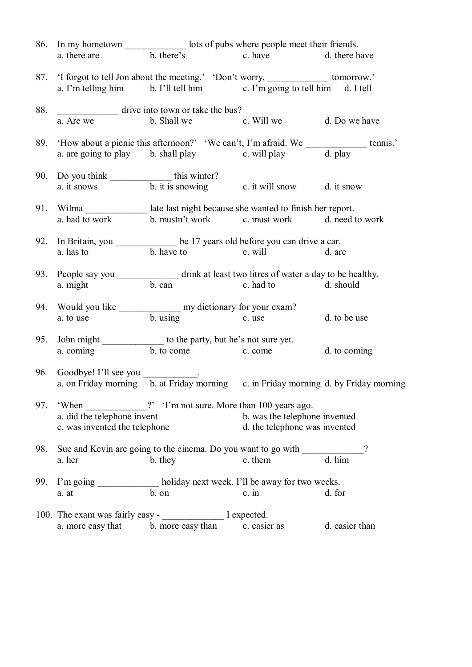|     | 86. In my hometown b. there's lots of pubs where people meet their friends.<br>a. there are b. there's c. have d. there have |                                                                                              |                               |                |  |
|-----|------------------------------------------------------------------------------------------------------------------------------|----------------------------------------------------------------------------------------------|-------------------------------|----------------|--|
|     |                                                                                                                              |                                                                                              |                               |                |  |
|     |                                                                                                                              |                                                                                              |                               |                |  |
|     |                                                                                                                              |                                                                                              |                               |                |  |
| 88. |                                                                                                                              | drive into town or take the bus?                                                             |                               |                |  |
|     | a. Are we                                                                                                                    | b. Shall we c. Will we d. Do we have                                                         |                               |                |  |
|     |                                                                                                                              |                                                                                              |                               |                |  |
|     |                                                                                                                              |                                                                                              |                               |                |  |
| 90. |                                                                                                                              |                                                                                              |                               |                |  |
|     |                                                                                                                              | Do you think<br>a. it snows<br>b. it is snowing<br>c. it will snow<br>d. it snow             |                               |                |  |
|     |                                                                                                                              | 91. Wilma ________________ late last night because she wanted to finish her report.          |                               |                |  |
|     | a. had to work                                                                                                               | b. mustn't work c. must work d. need to work                                                 |                               |                |  |
| 92. |                                                                                                                              | In Britain, you _____________ be 17 years old before you can drive a car.                    |                               |                |  |
|     | a. has to                                                                                                                    | b. have to c. will                                                                           |                               | d. are         |  |
|     |                                                                                                                              | 93. People say you _________________ drink at least two litres of water a day to be healthy. |                               |                |  |
|     | a. might                                                                                                                     | b. can c. had to d. should                                                                   |                               |                |  |
|     |                                                                                                                              | 94. Would you like <u>seem and my dictionary for your exam?</u>                              |                               |                |  |
|     |                                                                                                                              | a. to use b. using c. use                                                                    |                               | d. to be use   |  |
| 95. |                                                                                                                              | John might _______________ to the party, but he's not sure yet.                              |                               |                |  |
|     |                                                                                                                              | a. coming b. to come c. come                                                                 |                               | d. to coming   |  |
| 96. | Goodbye! I'll see you ____________.                                                                                          |                                                                                              |                               |                |  |
|     |                                                                                                                              | a. on Friday morning b. at Friday morning c. in Friday morning d. by Friday morning          |                               |                |  |
| 97. | 'When                                                                                                                        | ?' 'I'm not sure. More than 100 years ago.                                                   |                               |                |  |
|     | a. did the telephone invent                                                                                                  |                                                                                              | b. was the telephone invented |                |  |
|     | c. was invented the telephone                                                                                                |                                                                                              | d. the telephone was invented |                |  |
| 98. |                                                                                                                              | Sue and Kevin are going to the cinema. Do you want to go with                                |                               | $\gamma$       |  |
|     | a. her                                                                                                                       | b. they                                                                                      | c. them                       | d. him         |  |
| 99. |                                                                                                                              | I'm going ______________ holiday next week. I'll be away for two weeks.                      |                               |                |  |
|     | a. at                                                                                                                        | b. on                                                                                        | $c.$ in                       | d. for         |  |
|     |                                                                                                                              | 100. The exam was fairly easy - I expected.                                                  |                               |                |  |
|     | a. more easy that                                                                                                            | b. more easy than                                                                            | c. easier as                  | d. easier than |  |